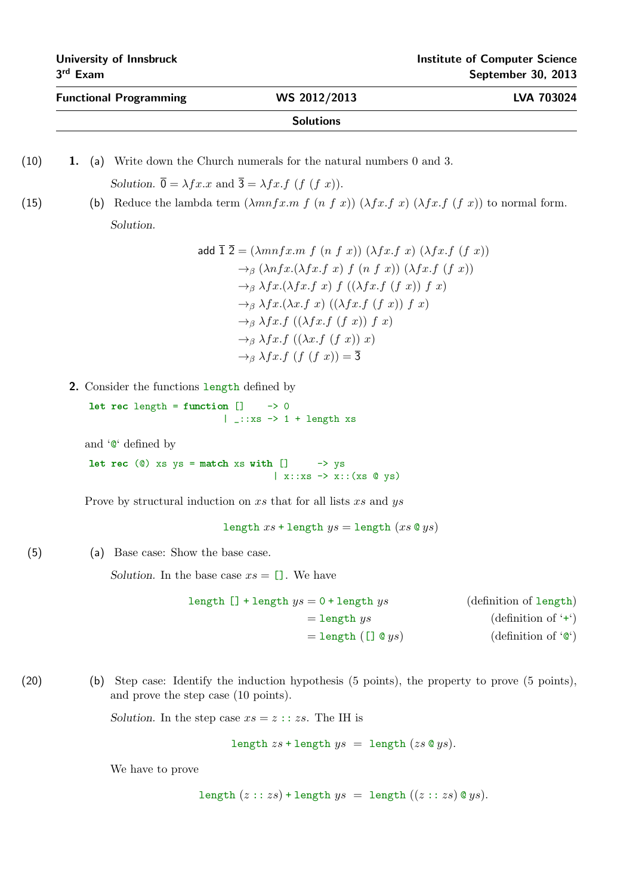| <b>Functional Programming</b>               | WS 2012/2013                                                                                                                                                                                                                                                                                                                                                                                                                                                                                                                                                                             | LVA 703024                                                                             |
|---------------------------------------------|------------------------------------------------------------------------------------------------------------------------------------------------------------------------------------------------------------------------------------------------------------------------------------------------------------------------------------------------------------------------------------------------------------------------------------------------------------------------------------------------------------------------------------------------------------------------------------------|----------------------------------------------------------------------------------------|
|                                             | <b>Solutions</b>                                                                                                                                                                                                                                                                                                                                                                                                                                                                                                                                                                         |                                                                                        |
| 1.                                          | (a) Write down the Church numerals for the natural numbers 0 and 3.                                                                                                                                                                                                                                                                                                                                                                                                                                                                                                                      |                                                                                        |
|                                             | Solution. $\overline{0} = \lambda f x \cdot x$ and $\overline{3} = \lambda f x \cdot f$ (f (f x)).                                                                                                                                                                                                                                                                                                                                                                                                                                                                                       |                                                                                        |
|                                             | (b) Reduce the lambda term $(\lambda mnfx.m f (nfx)) (\lambda fx.f x) (\lambda fx.f (f x))$ to normal form.                                                                                                                                                                                                                                                                                                                                                                                                                                                                              |                                                                                        |
| Solution.                                   |                                                                                                                                                                                                                                                                                                                                                                                                                                                                                                                                                                                          |                                                                                        |
|                                             | add $\overline{1} \ \overline{2} = (\lambda mnfx.m f (n f x)) (\lambda fx.f x) (\lambda fx.f (f x))$<br>$\rightarrow_{\beta} (\lambda nfx.(\lambda fx.f\ x)\ f\ (n\ f\ x))\ (\lambda fx.f\ (f\ x))$<br>$\rightarrow_{\beta} \lambda fx.(\lambda fx.f\ x) f((\lambda fx.f\ (f\ x))\ f\ x)$<br>$\rightarrow_{\beta} \lambda fx.(\lambda x.f\ x) ((\lambda fx.f\ (f\ x))\ f\ x)$<br>$\rightarrow_{\beta} \lambda fx.f \; ((\lambda fx.f \; (f \; x)) \; f \; x)$<br>$\rightarrow_{\beta} \lambda fx.f((\lambda x.f(f x)) x)$<br>$\rightarrow_{\beta} \lambda fx.f (f (f x)) = \overline{3}$ |                                                                                        |
| 2. Consider the functions length defined by |                                                                                                                                                                                                                                                                                                                                                                                                                                                                                                                                                                                          |                                                                                        |
| $let$ rec length = function $[]$            | $\rightarrow 0$<br>$\vert$ _:: xs -> 1 + length xs                                                                                                                                                                                                                                                                                                                                                                                                                                                                                                                                       |                                                                                        |
| and $\mathscr{C}$ defined by                |                                                                                                                                                                                                                                                                                                                                                                                                                                                                                                                                                                                          |                                                                                        |
| let rec $(0)$ xs ys = match xs with $[]$    | $\rightarrow$ ys<br>$\vert$ x:: xs $\rightarrow$ x:: (xs $\circ$ ys)                                                                                                                                                                                                                                                                                                                                                                                                                                                                                                                     |                                                                                        |
|                                             | Prove by structural induction on $xs$ that for all lists $xs$ and $ys$                                                                                                                                                                                                                                                                                                                                                                                                                                                                                                                   |                                                                                        |
|                                             | length $xs$ + length $ys$ = length $(xs \otimes ys)$                                                                                                                                                                                                                                                                                                                                                                                                                                                                                                                                     |                                                                                        |
| Base case: Show the base case.<br>(a)       |                                                                                                                                                                                                                                                                                                                                                                                                                                                                                                                                                                                          |                                                                                        |
|                                             | Solution. In the base case $xs = \Box$ . We have                                                                                                                                                                                                                                                                                                                                                                                                                                                                                                                                         |                                                                                        |
|                                             | length $[] + length ys = 0 + length ys$<br>$=$ length $ys$<br>$=$ length ([] $\&$ ys)                                                                                                                                                                                                                                                                                                                                                                                                                                                                                                    | (definition of length)<br>(definition of $'$ + $'$ )<br>(definition of $\mathcal{C}$ ) |
| (b)<br>and prove the step case (10 points). | Step case: Identify the induction hypothesis (5 points), the property to prove (5 points),                                                                                                                                                                                                                                                                                                                                                                                                                                                                                               |                                                                                        |
|                                             | Solution. In the step case $xs = z :: zs$ . The IH is                                                                                                                                                                                                                                                                                                                                                                                                                                                                                                                                    |                                                                                        |
|                                             | length $zs + \text{length } ys = \text{length } (zs \otimes ys)$ .                                                                                                                                                                                                                                                                                                                                                                                                                                                                                                                       |                                                                                        |
| We have to prove                            |                                                                                                                                                                                                                                                                                                                                                                                                                                                                                                                                                                                          |                                                                                        |

length  $(z:: zs)$  + length  $ys =$  length  $((z:: zs) \otimes ys)$ .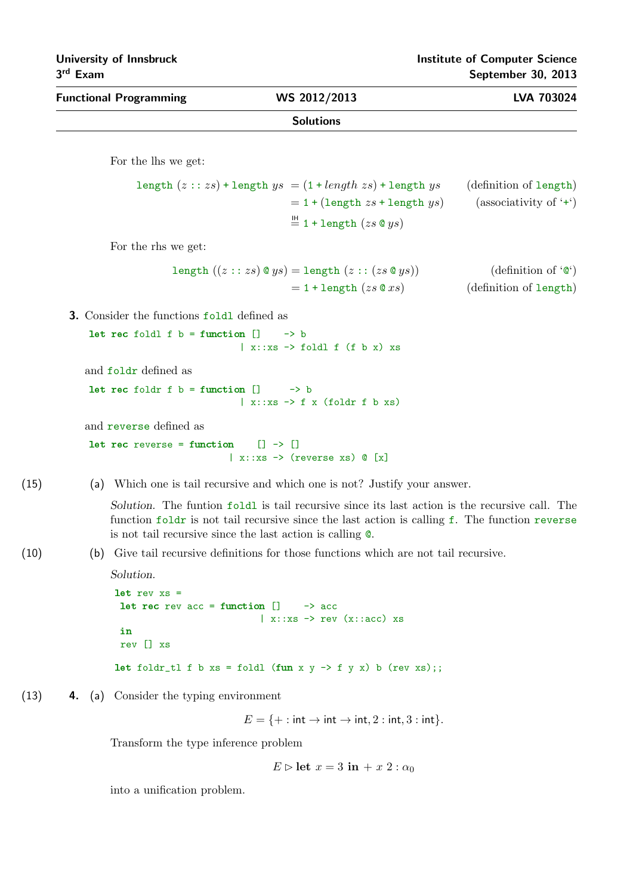| $\sim$<br>-------             |                  |            |
|-------------------------------|------------------|------------|
| <b>Functional Programming</b> | WS 2012/2013     | LVA 703024 |
|                               | <b>Solutions</b> |            |
|                               |                  |            |

For the lhs we get:

length 
$$
(z::zs)
$$
 + length  $ys$  =  $(1 + length zs) + length ys$  (definition of length)  
=  $1 + (length zs + length ys)$  (associativity of '+')  
 $\stackrel{\mathbb{H}}{=} 1 + length (zs @ ys)$ 

For the rhs we get:

length 
$$
((z::zs) \circ ys) = \text{length} (z::(zs \circ ys))
$$
 (definition of 'o')  
= 1 + length  $(zs \circ xs)$  (definition of length)

3. Consider the functions foldl defined as

let rec foldl f  $b =$  function  $[] \longrightarrow b$  $|x::xs -> fold1$  f (f b x) xs

and foldr defined as

let rec foldr f  $b =$  function  $[]$  -> b  $\vert$  x::xs  $\rightarrow$  f x (foldr f b xs)

and reverse defined as

let rec reverse = function  $[] \rightarrow []$  $\vert$  x::xs  $\rightarrow$  (reverse xs)  $\mathbb{Q}$  [x]

(15) (a) Which one is tail recursive and which one is not? Justify your answer.

Solution. The funtion  $f \circ \text{Id}$  is tail recursive since its last action is the recursive call. The function foldr is not tail recursive since the last action is calling f. The function reverse is not tail recursive since the last action is calling @.

(10) (b) Give tail recursive definitions for those functions which are not tail recursive.

```
Solution.
let rev xs =
 let rec rev acc = function ] \longrightarrow acc\vert x::xs \rightarrow rev (x::acc) xs
 in
 rev [] xs
let foldr_tl f b xs = foldl (fun x y \rightarrow f y x) b (rev xs);;
```
(13) 4. (a) Consider the typing environment

 $E = \{ + : \text{int} \rightarrow \text{int} \rightarrow \text{int}, 2 : \text{int}, 3 : \text{int} \}.$ 

Transform the type inference problem

$$
E \triangleright \text{let } x = 3 \text{ in } + x \ 2 : \alpha_0
$$

into a unification problem.